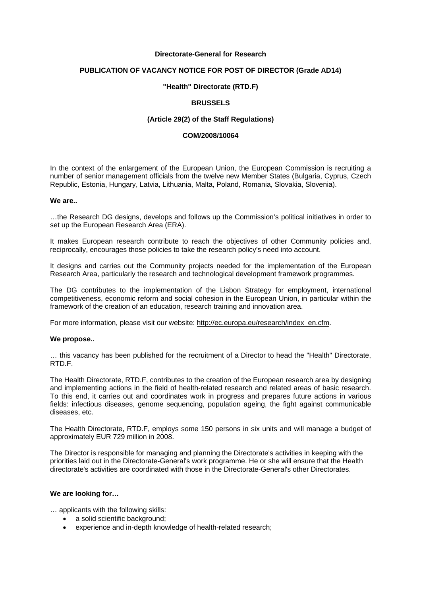#### **Directorate-General for Research**

## **PUBLICATION OF VACANCY NOTICE FOR POST OF DIRECTOR (Grade AD14)**

### **"Health" Directorate (RTD.F)**

## **BRUSSELS**

## **(Article 29(2) of the Staff Regulations)**

#### **COM/2008/10064**

In the context of the enlargement of the European Union, the European Commission is recruiting a number of senior management officials from the twelve new Member States (Bulgaria, Cyprus, Czech Republic, Estonia, Hungary, Latvia, Lithuania, Malta, Poland, Romania, Slovakia, Slovenia).

#### **We are..**

…the Research DG designs, develops and follows up the Commission's political initiatives in order to set up the European Research Area (ERA).

It makes European research contribute to reach the objectives of other Community policies and, reciprocally, encourages those policies to take the research policy's need into account.

It designs and carries out the Community projects needed for the implementation of the European Research Area, particularly the research and technological development framework programmes.

The DG contributes to the implementation of the Lisbon Strategy for employment, international competitiveness, economic reform and social cohesion in the European Union, in particular within the framework of the creation of an education, research training and innovation area.

For more information, please visit our website[: http://ec.europa.eu/research/index\\_en.cfm.](http://ec.europa.eu/research/index_en.cfm)

#### **We propose..**

… this vacancy has been published for the recruitment of a Director to head the "Health" Directorate, RTD.F.

The Health Directorate, RTD.F, contributes to the creation of the European research area by designing and implementing actions in the field of health-related research and related areas of basic research. To this end, it carries out and coordinates work in progress and prepares future actions in various fields: infectious diseases, genome sequencing, population ageing, the fight against communicable diseases, etc.

The Health Directorate, RTD.F, employs some 150 persons in six units and will manage a budget of approximately EUR 729 million in 2008.

The Director is responsible for managing and planning the Directorate's activities in keeping with the priorities laid out in the Directorate-General's work programme. He or she will ensure that the Health directorate's activities are coordinated with those in the Directorate-General's other Directorates.

## **We are looking for…**

… applicants with the following skills:

- a solid scientific background:
- experience and in-depth knowledge of health-related research;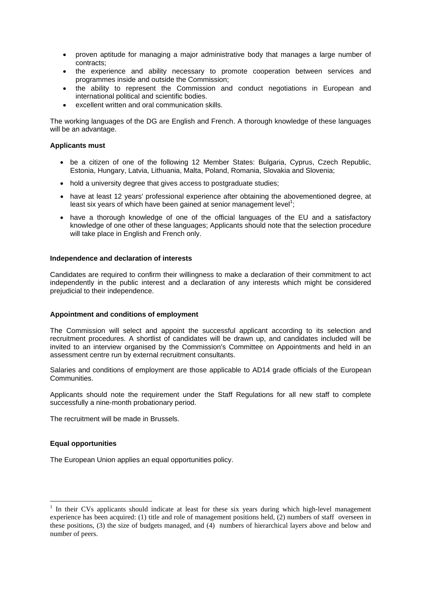- proven aptitude for managing a major administrative body that manages a large number of contracts;
- the experience and ability necessary to promote cooperation between services and programmes inside and outside the Commission;
- the ability to represent the Commission and conduct negotiations in European and international political and scientific bodies.
- excellent written and oral communication skills.

The working languages of the DG are English and French. A thorough knowledge of these languages will be an advantage.

## **Applicants must**

- be a citizen of one of the following 12 Member States: Bulgaria, Cyprus, Czech Republic, Estonia, Hungary, Latvia, Lithuania, Malta, Poland, Romania, Slovakia and Slovenia;
- hold a university degree that gives access to postgraduate studies:
- have at least 12 years' professional experience after obtaining the abovementioned degree, at least six years of which have been gained at senior management level<sup>1</sup>;
- have a thorough knowledge of one of the official languages of the EU and a satisfactory knowledge of one other of these languages; Applicants should note that the selection procedure will take place in English and French only.

## **Independence and declaration of interests**

Candidates are required to confirm their willingness to make a declaration of their commitment to act independently in the public interest and a declaration of any interests which might be considered prejudicial to their independence.

#### **Appointment and conditions of employment**

The Commission will select and appoint the successful applicant according to its selection and recruitment procedures. A shortlist of candidates will be drawn up, and candidates included will be invited to an interview organised by the Commission's Committee on Appointments and held in an assessment centre run by external recruitment consultants.

Salaries and conditions of employment are those applicable to AD14 grade officials of the European **Communities** 

Applicants should note the requirement under the Staff Regulations for all new staff to complete successfully a nine-month probationary period.

The recruitment will be made in Brussels.

#### **Equal opportunities**

1

The European Union applies an equal opportunities policy.

<sup>&</sup>lt;sup>1</sup> In their CVs applicants should indicate at least for these six years during which high-level management experience has been acquired: (1) title and role of management positions held, (2) numbers of staff overseen in these positions, (3) the size of budgets managed, and (4) numbers of hierarchical layers above and below and number of peers.